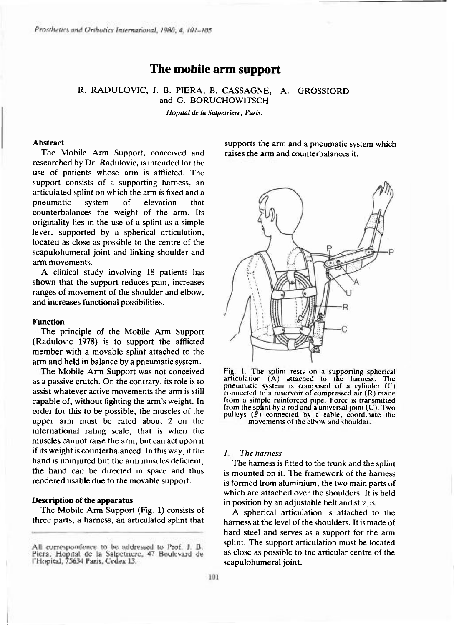# **The mobile arm support**

R. RADULOVIC, J. B. PIERA, B. CASSAGNE, A. GROSSIORD and G. BORUCHOWITSCH *Hopital de la Salpetriere, Paris.* 

#### **Abstrac t**

The Mobile Arm Support, conceived and researched by Dr. Radulovic, is intended for the use of patients whose arm is afflicted. The support consists of a supporting harness, an articulated splint on which the arm is fixed and a pneumatic system of elevation that counterbalances the weight of the arm. Its originality lies in the use of a splint as a simple lever, supported by a spherical articulation, located as close as possible to the centre of the scapulohumeral joint and linking shoulder and arm movements.

A clinical study involving 18 patients has shown that the support reduces pain, increases ranges of movement of the shoulder and elbow, and increases functional possibilities.

## **Function**

The principle of the Mobile Arm Support  $(Radulovic 1978)$  is to support the afflicted member with a movable splint attached to the arm and held in balance by a pneumatic system.

The Mobile Arm Support was not conceived as a passive crutch. On the contrary, its role is to assist whatever active movements the arm is still capable of, without fighting the arm's weight. In order for this to be possible, the muscles of the upper arm must be rated about 2 on the international rating scale; that is when the muscles cannot raise the arm, but can act upon it if its weight is counterbalanced. In this way, if the hand is uninjured but the arm muscles deficient, the hand can be directed in space and thus rendered usable due to the movable support.

## **Description of the apparatus**

The Mobile Arm Support (Fig. 1) consists of three parts, a harness, an articulated splint that supports the arm and a pneumatic system which raises the arm and counterbalances it.



**Fig. 1. The splint rests on a supporting spherical articulation (A) attached to the harness. The pneumatic system is composed of a cylinder (C) connected to a reservoir of compressed air (R) made from a simple reinforced pipe. Force is transmitted from the splint by a rod and a universal joint (U). Two pulleys (P) connected by a cable, coordinate the movements of the elbow and shoulder** 

# *1. The harness*

The harness is fitted to the trunk and the splint is mounted on it. The framework of the harness is formed from aluminium, the two main parts of which are attached over the shoulders. It is held in position by an adjustable belt and straps.

A spherical articulation is attached to the harness at the level of the shoulders. It is made of hard steel and serves as a support for the arm splint. The support articulation must be located as close as possible to the articular centre of the scapulohumeral joint.

All correspondence to be addressed to Prof. J. B. Piera, Hopital de la Salpetriere, 47 Boulevard de l'Hopital, 75634 Paris, Cedex 13.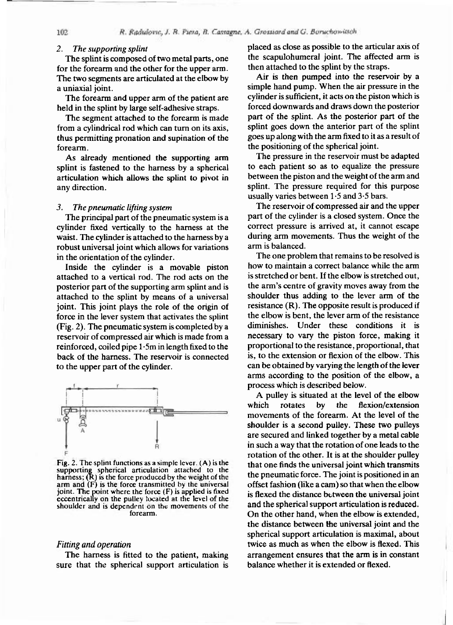## *2. The supporting splint*

The splint is composed of two metal parts, one for the forearm and the other for the upper arm. The two segments are articulated at the elbow by a uniaxial ioint.

The forearm and upper arm of the patient are held in the splint by large self-adhesive straps.

The segment attached to the forearm is made from a cylindrical rod which can turn on its axis, thus permitting pronation and supination of the forearm .

As already mentioned the supporting arm splint is fastened to the harness by a spherical articulation which allows the splint to pivot in any direction.

#### *3. The pneumatic lifting system*

The principal part of the pneumatic system is a cylinder fixed vertically to the harness at the waist. The cylinder is attached to the harness by a robust universal joint which allows for variations in the orientation of the cylinder.

Inside the cylinder is a movable piston attached to a vertical rod. The rod acts on the posterior part of the supporting arm splint and is attached to the splint by means of a universal joint. This joint plays the role of the origin of force in the lever system that activates the splint (Fig. 2). The pneumatic system is completed by a reservoir of compressed air which is made from a reinforced, coiled pipe  $1.5m$  in length fixed to the back of the harness. The reservoir is connected to the upper part of the cylinder.



Fig. 2. The splint functions as a simple lever.  $(A)$  is the supporting spherical articulation attached to the harness; (R) is the force produced by the weight of the arm and (F) is the force transmitted by the universal joint. The point where the force  $(F)$  is applied is fixed eccentrically on the pulley located at the level of the shoulder and is dependent on the movements of the forearm.

#### *Fitting and operation*

The harness is fitted to the patient, making sure that the spherical support articulation is

placed as close as possible to the articular axis of the scapulohumeral ioint. The affected arm is then attached to the splint by the straps.

Air is then pumped into the reservoir by a simple hand pump. When the air pressure in the cylinder is sufficient, it acts on the piston which is forced downwards and draws down the posterior part of the splint. As the posterior part of the splint goes down the anterior part of the splint goes up along with the arm fixed to it as a result of the positioning of the spherical joint.

The pressure in the reservoir must be adapted to each patient so as to equalize the pressure between the piston and the weight of the arm and splint. The pressure required for this purpose usually varies between 1.5 and 3.5 bars.

The reservoir of compressed air and the upper part of the cylinder is a closed system. Once the correct pressure is arrived at, it cannot escape during arm movements. Thus the weight of the arm is balanced.

The one problem that remains to be resolved is how to maintain a correct balance while the arm is stretched or bent. If the elbow is stretched out, the arm's centre of gravity moves away from the shoulder thus adding to the lever arm of the resistance  $(R)$ . The opposite result is produced if the elbow is bent, the lever arm of the resistance diminishes. Under these conditions it is necessary to vary the piston force, making it proportional to the resistance, proportional, that is, to the extension or flexion of the elbow. This can be obtained by varying the length of the lever arms according to the position of the elbow, a process which is described below.

A pulley is situated at the level of the elbow which rotates by the flexion/extension movements of the forearm. At the level of the shoulder is a second pulley. These two pulleys are secured and linked together by a metal cable in such a way that the rotation of one leads to the rotation of the other. It is at the shoulder pulley that one finds the universal joint which transmits the pneumatic force. The joint is positioned in an offset fashion (like a cam) so that when the elbow is flexed the distance between the universal joint and the spherical support articulation is reduced. On the other hand, when the elbow is extended, the distance between the universal joint and the spherical support articulation is maximal, about twice as much as when the elbow is flexed. This arrangement ensures that the arm is in constant balance whether it is extended or flexed.

102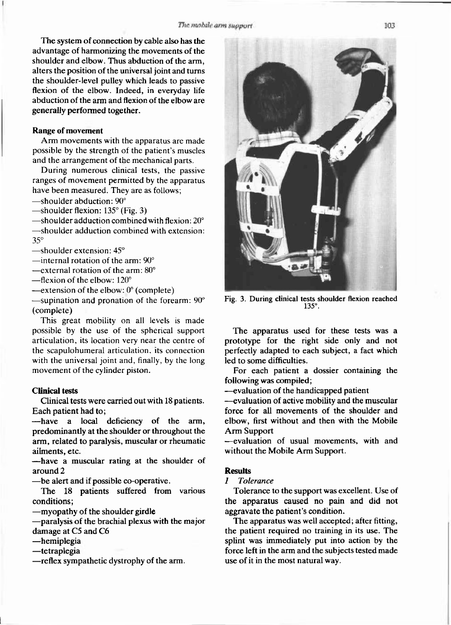The system of connection by cable also has the advantage of harmonizing the movements of the shoulder and elbow. Thus abduction of the arm, alters the position of the universal joint and turns the shoulder-level pulley which leads to passive flexion of the elbow. Indeed, in everyday life abduction of the arm and flexion of the elbow are generally performed together.

# **Range of movement**

Arm movements with the apparatus are made possible by the strength of the patient's muscles and the arrangement of the mechanical parts.

During numerous clinical tests, the passive ranges of movement permitted by the apparatus have been measured. They are as follows;

 $-$ shoulder abduction: 90 $^{\circ}$ 

—shoulder flexion:  $135^\circ$  (Fig. 3)

 $-$ shoulder adduction combined with flexion:  $20^{\circ}$ 

-shoulder adduction combined with extension: 35°

 $-$ shoulder extension:  $45^\circ$ 

—internal rotation of the arm:  $90^\circ$ 

—external rotation of the arm:  $80^\circ$ 

 $-$ flexion of the elbow: 120 $^{\circ}$ 

—extension of the elbow:  $0^{\circ}$  (complete)

 $-$ supination and pronation of the forearm:  $90^\circ$ (complete )

This great mobility on all levels is made possible by the use of the spherical support articulation, its location very near the centre of the scapulohumeral articulation, its connection with the universal joint and, finally, by the long movement of the cylinder piston.

## **Clinical tests**

Clinical tests were carried out with 18 patients. Each patient had to;

 $-\text{have}$  a local deficiency of the arm, predominantly at the shoulder or throughout the arm, related to paralysis, muscular or rheumatic ailments, etc.

—have a muscular rating at the shoulder of around 2

— be alert and if possible co-operative.

The 18 patients suffered from various conditions;

- myopathy of the shoulder girdle

—paralysis of the brachial plexus with the major damage at C5 and C6

 $-$ hemiplegia

 $-$ tetraplegia

—reflex sympathetic dystrophy of the arm.

**Fig. 3. During clinical tests shoulder flexion reached 135°.** 

The apparatus used for these tests was a prototype for the right side only and not perfectly adapted to each subject, a fact which led to some difficulties.

For each patient a dossier containing the following was compiled;

- evaluation of the handicapped patient

- evaluation of active mobility and the muscular force for all movements of the shoulder and elbow, first without and then with the Mobile Arm Support

-evaluation of usual movements, with and without the Mobile Arm Support.

# **Results**

*1 Tolerance* 

Tolerance to the support was excellent. Use of the apparatus caused no pain and did not aggravate the patient's condition.

The apparatus was well accepted; after fitting, the patient required no training in its use. The splint was immediately put into action by the force left in the arm and the subjects tested made use of it in the most natural way.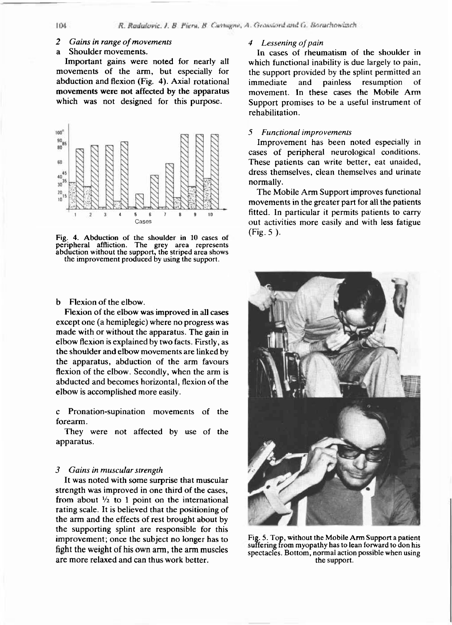### *2 Gains in range of movements*

#### a Shoulder movements.

Important gains were noted for nearly all movements of the arm, but especially for abduction and flexion (Fig. 4). Axial rotational movements were not affected by the apparatus which was not designed for this purpose.



**Fig. 4. Abduction of the shoulder in 10 cases of peripheral affliction. The grey area represents abduction without the support, the striped area shows the improvement produced by using the support.** 

b Flexion of the elbow.

Flexion of the elbow was improved in all cases except one (a hemiplegic) where no progress was made with or without the apparatus. The gain in elbow flexion is explained by two facts. Firstly, as the shoulder and elbow movements are linked by the apparatus, abduction of the arm favours flexion of the elbow. Secondly, when the arm is abducted and becomes horizontal, flexion of the elbow is accomplished more easily.

c Pronation-supination movements of the forearm .

They were not affected by use of the apparatus.

# *3 Gains in muscular strength*

It was noted with some surprise that muscular strength was improved in one third of the cases, from about  $\frac{1}{2}$  to 1 point on the international rating scale. It is believed that the positioning of the arm and the effects of rest brought about by the supporting splint are responsible for this improvement; once the subject no longer has to fight the weight of his own arm, the arm muscles are more relaxed and can thus work better.

#### *4 Lessening of pain*

In cases of rheumatism of the shoulder in which functional inability is due largely to pain, the support provided by the splint permitted an immediate and painless resumption of movement. In these cases the Mobile Arm Support promises to be a useful instrument of rehabilitation .

## *5 Functional improvements*

Improvement has been noted especially in cases of peripheral neurological conditions. These patients can write better, eat unaided, dress themselves, clean themselves and urinate normally.

The Mobile Arm Support improves functional movements in the greater part for all the patients fitted. In particular it permits patients to carry out activities more easily and with less fatigue  $(Fig. 5)$ .



**Fig. 5. Top, without the Mobile Arm Support a patient suffering from myopathy has to lean forward to don his spectacles. Bottom, normal action possible when using the support.** 

**TO4**